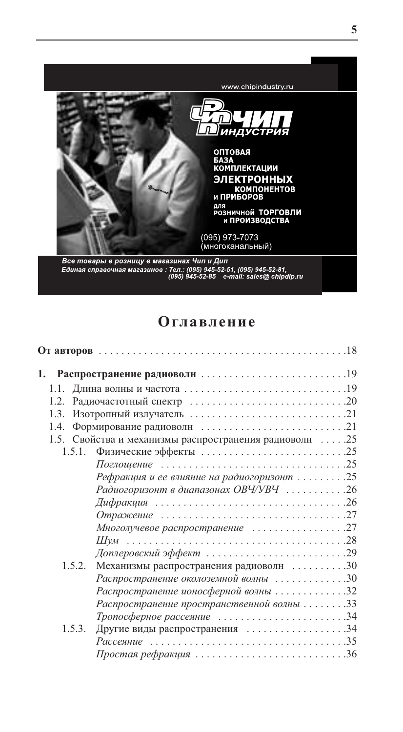

# Оглавление

| 1.3. |                                                          |  |
|------|----------------------------------------------------------|--|
| 1.4. |                                                          |  |
|      | 1.5. Свойства и механизмы распространения радиоволн  .25 |  |
|      | 1.5.1.                                                   |  |
|      |                                                          |  |
|      | Рефракция и ее влияние на радиогоризонт 25               |  |
|      | Радиогоризонт в диапазонах ОВЧ/УВЧ 26                    |  |
|      |                                                          |  |
|      |                                                          |  |
|      | Многолучевое распространение 27                          |  |
|      |                                                          |  |
|      |                                                          |  |
|      | 1.5.2. Механизмы распространения радиоволн 30            |  |
|      | Распространение околоземной волны 30                     |  |
|      | Распространение ионосферной волны 32                     |  |
|      | Распространение пространственной волны 33                |  |
|      | Тропосферное рассеяние 34                                |  |
|      | 1.5.3.<br>Другие виды распространения 34                 |  |
|      | <i>Рассеяние</i> 35                                      |  |
|      | Простая рефракция 36                                     |  |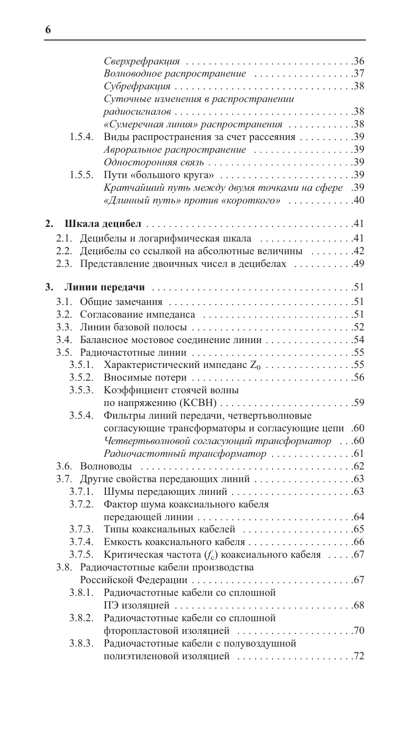|        | Волноводное распространение 37                      |  |
|--------|-----------------------------------------------------|--|
|        |                                                     |  |
|        | Суточные изменения в распространении                |  |
|        |                                                     |  |
|        | «Сумеречная линия» распространения 38               |  |
| 1.5.4. | Виды распространения за счет рассеяния 39           |  |
|        | Авроральное распространение 39                      |  |
|        |                                                     |  |
| 1.5.5. | Пути «большого круга» 39                            |  |
|        | Кратчайший путь между двумя точками на сфере .39    |  |
|        | «Длинный путь» против «короткого» 40                |  |
|        |                                                     |  |
| 2.     |                                                     |  |
|        | 2.1. Децибелы и логарифмическая шкала 41            |  |
|        | 2.2. Децибелы со ссылкой на абсолютные величины 42  |  |
|        | 2.3. Представление двоичных чисел в децибелах  49   |  |
| 3.     |                                                     |  |
|        |                                                     |  |
|        |                                                     |  |
|        |                                                     |  |
|        |                                                     |  |
|        | 3.4. Балансное мостовое соединение линии 54         |  |
|        |                                                     |  |
| 3.5.1. | Характеристический импеданс $Z_0$ 55                |  |
|        |                                                     |  |
| 3.5.3. | Коэффициент стоячей волны                           |  |
|        |                                                     |  |
| 3.5.4. | Фильтры линий передачи, четвертьволновые            |  |
|        | согласующие трансформаторы и согласующие цепи .60   |  |
|        | Четвертьволновой согласующий трансформатор 60       |  |
|        |                                                     |  |
|        |                                                     |  |
|        |                                                     |  |
|        |                                                     |  |
| 3.7.2. | Фактор шума коаксиального кабеля                    |  |
|        |                                                     |  |
| 3.7.3. |                                                     |  |
| 3.7.4. |                                                     |  |
| 3.7.5. | Критическая частота $(f_c)$ коаксиального кабеля 67 |  |
|        | 3.8. Радиочастотные кабели производства             |  |
|        |                                                     |  |
| 3.8.1. | Радиочастотные кабели со сплошной                   |  |
|        |                                                     |  |
| 3.8.2. | Радиочастотные кабели со сплошной                   |  |
|        |                                                     |  |
| 3.8.3. | Радиочастотные кабели с полувоздушной               |  |
|        |                                                     |  |
|        |                                                     |  |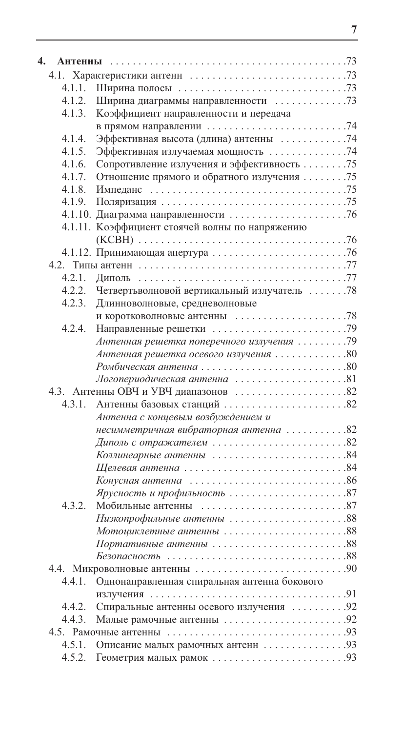| 4.     |                                                                               |  |
|--------|-------------------------------------------------------------------------------|--|
|        |                                                                               |  |
| 4.1.1. |                                                                               |  |
| 4.1.2. | Ширина диаграммы направленности 73                                            |  |
| 4.1.3. | Коэффициент направленности и передача                                         |  |
|        |                                                                               |  |
| 4.1.4. | Эффективная высота (длина) антенны 74                                         |  |
| 4.1.5. | Эффективная излучаемая мощность 74                                            |  |
| 4.1.6. | Сопротивление излучения и эффективность 75                                    |  |
| 4.1.7. | Отношение прямого и обратного излучения 75                                    |  |
| 4.1.8. |                                                                               |  |
| 4.1.9. |                                                                               |  |
|        |                                                                               |  |
|        | 4.1.11. Коэффициент стоячей волны по напряжению                               |  |
|        |                                                                               |  |
|        |                                                                               |  |
|        |                                                                               |  |
| 4.2.1. |                                                                               |  |
| 4.2.2. | Четвертьволновой вертикальный излучатель 78                                   |  |
| 4.2.3. | Длинноволновые, средневолновые                                                |  |
|        | и коротковолновые антенны $\dots\dots\dots\dots\dots\dots$                    |  |
| 4.2.4. |                                                                               |  |
|        | Антенная решетка поперечного излучения 79                                     |  |
|        | Антенная решетка осевого излучения 80                                         |  |
|        |                                                                               |  |
|        | Логопериодическая антенна 81                                                  |  |
|        |                                                                               |  |
| 4.3.1. |                                                                               |  |
|        | Антенна с кониевым возбуждением и                                             |  |
|        | несимметричная вибраторная антенна 82                                         |  |
|        |                                                                               |  |
|        |                                                                               |  |
|        |                                                                               |  |
|        | Конусная антенна $\ldots \ldots \ldots \ldots \ldots \ldots \ldots \ldots 86$ |  |
|        |                                                                               |  |
| 4.3.2. | Мобильные антенны 87                                                          |  |
|        |                                                                               |  |
|        |                                                                               |  |
|        | Портативные антенны 88                                                        |  |
|        |                                                                               |  |
|        |                                                                               |  |
| 4.4.1. | Однонаправленная спиральная антенна бокового                                  |  |
|        |                                                                               |  |
| 4.4.2. | Спиральные антенны осевого излучения  92                                      |  |
| 4.4.3. |                                                                               |  |
|        |                                                                               |  |
|        |                                                                               |  |
|        |                                                                               |  |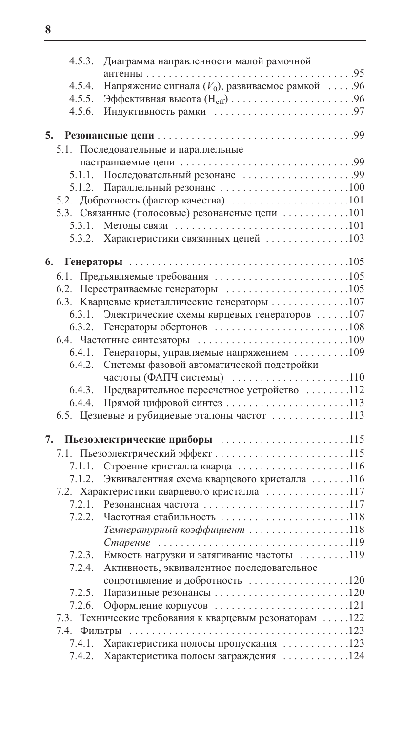|    | 4.5.3. | Диаграмма направленности малой рамочной                                                |
|----|--------|----------------------------------------------------------------------------------------|
|    |        |                                                                                        |
|    | 4.5.4. | Напряжение сигнала $(V_0)$ , развиваемое рамкой 96                                     |
|    | 4.5.5. |                                                                                        |
|    | 4.5.6. |                                                                                        |
| 5. |        |                                                                                        |
|    |        | 5.1. Последовательные и параллельные                                                   |
|    |        |                                                                                        |
|    |        |                                                                                        |
|    | 5.1.2. |                                                                                        |
|    |        |                                                                                        |
|    |        |                                                                                        |
|    |        | 5.3. Связанные (полосовые) резонансные цепи 101                                        |
|    |        |                                                                                        |
|    |        | 5.3.2. Характеристики связанных цепей 103                                              |
| 6. |        |                                                                                        |
|    |        |                                                                                        |
|    |        | 6.2. Перестраиваемые генераторы $\ldots \ldots \ldots \ldots \ldots \ldots \ldots 105$ |
|    |        | 6.3. Кварцевые кристаллические генераторы 107                                          |
|    |        | 6.3.1. Электрические схемы кврцевых генераторов 107                                    |
|    |        |                                                                                        |
|    |        |                                                                                        |
|    |        | 6.4.1. Генераторы, управляемые напряжением 109                                         |
|    | 6.4.2. | Системы фазовой автоматической подстройки                                              |
|    |        | частоты (ФАПЧ системы) 110                                                             |
|    | 6.4.3. | Предварительное пересчетное устройство 112                                             |
|    |        | 6.4.4. Прямой цифровой синтез 113                                                      |
|    |        | 6.5. Цезиевые и рубидиевые эталоны частот 113                                          |
|    |        |                                                                                        |
| 7. |        | Пьезоэлектрические приборы 115                                                         |
|    |        | 7.1. Пьезоэлектрический эффект 115                                                     |
|    |        | 7.1.1. Строение кристалла кварца 116                                                   |
|    | 7.1.2. | Эквивалентная схема кварцевого кристалла 116                                           |
|    |        | 7.2. Характеристики кварцевого кристалла 117                                           |
|    |        | 7.2.1. Резонансная частота 117                                                         |
|    | 7.2.2. | Частотная стабильность 118                                                             |
|    |        | Температурный коэффициент 118                                                          |
|    |        |                                                                                        |
|    | 7.2.3. | Емкость нагрузки и затягивание частоты 119                                             |
|    | 7.2.4. | Активность, эквивалентное последовательное                                             |
|    |        |                                                                                        |
|    | 7.2.5. |                                                                                        |
|    | 7.2.6. |                                                                                        |
|    |        | 7.3. Технические требования к кварцевым резонаторам 122                                |
|    |        |                                                                                        |
|    | 7.4.1. | Характеристика полосы пропускания 123                                                  |
|    | 7.4.2. | Характеристика полосы заграждения 124                                                  |
|    |        |                                                                                        |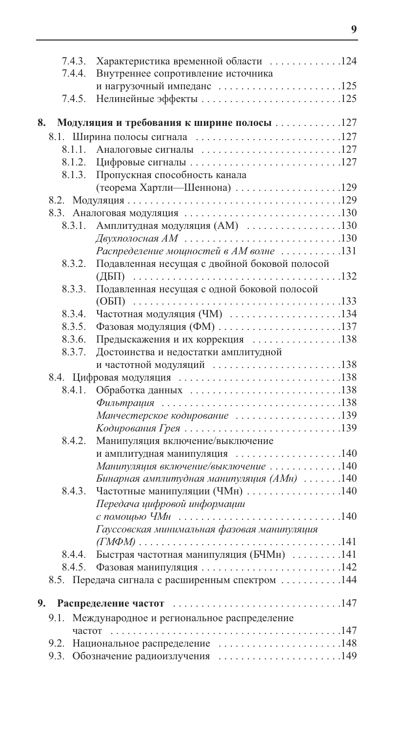|    | 7.4.3. | Характеристика временной области 124             |  |
|----|--------|--------------------------------------------------|--|
|    | 7.4.4. | Внутреннее сопротивление источника               |  |
|    |        | и нагрузочный импеданс 125                       |  |
|    | 7.4.5. |                                                  |  |
|    |        |                                                  |  |
| 8. |        | Модуляция и требования к ширине полосы 127       |  |
|    |        | 8.1. Ширина полосы сигнала 127                   |  |
|    |        | 8.1.1. Аналоговые сигналы 127                    |  |
|    | 8.1.2. |                                                  |  |
|    | 8.1.3. | Пропускная способность канала                    |  |
|    |        | (теорема Хартли-Шеннона) 129                     |  |
|    |        |                                                  |  |
|    |        |                                                  |  |
|    | 8.3.1. | Амплитудная модуляция (AM) 130                   |  |
|    |        |                                                  |  |
|    |        | Распределение мощностей в АМ волне 131           |  |
|    | 8.3.2. | Подавленная несущая с двойной боковой полосой    |  |
|    |        |                                                  |  |
|    |        | Подавленная несущая с одной боковой полосой      |  |
|    | 8.3.3. |                                                  |  |
|    |        |                                                  |  |
|    | 8.3.4. | Частотная модуляция (ЧМ) 134                     |  |
|    | 8.3.5. |                                                  |  |
|    | 8.3.6. | Предыскажения и их коррекция 138                 |  |
|    | 8.3.7. | Достоинства и недостатки амплитудной             |  |
|    |        | и частотной модуляций 138                        |  |
|    |        |                                                  |  |
|    | 8.4.1. |                                                  |  |
|    |        |                                                  |  |
|    |        | Манчестерское кодирование 139                    |  |
|    |        |                                                  |  |
|    | 8.4.2. | Манипуляция включение/выключение                 |  |
|    |        | и амплитудная манипуляция 140                    |  |
|    |        | Манипуляция включение/выключение 140             |  |
|    |        | Бинарная амплитудная манипуляция (АМн) 140       |  |
|    | 8.4.3. | Частотные манипуляции (ЧМн) 140                  |  |
|    |        | Передача цифровой информации                     |  |
|    |        |                                                  |  |
|    |        | Гауссовская минимальная фазовая манипуляция      |  |
|    |        |                                                  |  |
|    | 8.4.4. | Быстрая частотная манипуляция (БЧМн) 141         |  |
|    | 8.4.5. |                                                  |  |
|    |        | 8.5. Передача сигнала с расширенным спектром 144 |  |
|    |        |                                                  |  |
|    | 9.     |                                                  |  |
|    | 9.1.   | Международное и региональное распределение       |  |
|    |        |                                                  |  |
|    |        | 9.2. Национальное распределение 148              |  |
|    |        | 9.3. Обозначение радиоизлучения 149              |  |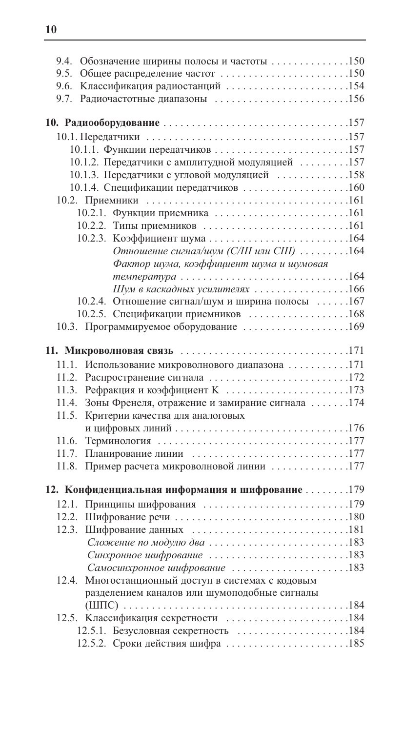| 9.4. Обозначение ширины полосы и частоты 150                                             |  |
|------------------------------------------------------------------------------------------|--|
| 9.5. Общее распределение частот 150                                                      |  |
| Классификация радиостанций 154<br>9.6.                                                   |  |
| 9.7. Радиочастотные диапазоны 156                                                        |  |
|                                                                                          |  |
|                                                                                          |  |
|                                                                                          |  |
| 10.1.1. Функции передатчиков157                                                          |  |
| 10.1.2. Передатчики с амплитудной модуляцией 157                                         |  |
| 10.1.3. Передатчики с угловой модуляцией 158                                             |  |
| 10.1.4. Спецификации передатчиков 160                                                    |  |
|                                                                                          |  |
| 10.2.1. Функции приемника 161                                                            |  |
| 10.2.2. Типы приемников 161                                                              |  |
|                                                                                          |  |
| Отношение сигнал/шум (С/Ш или СШ) 164                                                    |  |
| Фактор шума, коэффициент шума и шумовая                                                  |  |
|                                                                                          |  |
| Шум в каскадных усилителях 166                                                           |  |
| 10.2.4. Отношение сигнал/шум и ширина полосы 167                                         |  |
| 10.2.5. Спецификации приемников 168                                                      |  |
| 10.3. Программируемое оборудование 169                                                   |  |
|                                                                                          |  |
|                                                                                          |  |
| Использование микроволнового диапазона 171<br>11.1.<br>11.2. Распространение сигнала 172 |  |
| Рефракция и коэффициент К 173<br>11.3.                                                   |  |
| Зоны Френеля, отражение и замирание сигнала 174<br>11.4.                                 |  |
| 11.5.<br>Критерии качества для аналоговых                                                |  |
|                                                                                          |  |
| 11.6.                                                                                    |  |
| 11.7. Планирование линии 177                                                             |  |
| 11.8. Пример расчета микроволновой линии 177                                             |  |
|                                                                                          |  |
| 12. Конфиденциальная информация и шифрование 179                                         |  |
| 12.1. Принципы шифрования 179                                                            |  |
| 12.2.                                                                                    |  |
|                                                                                          |  |
|                                                                                          |  |
|                                                                                          |  |
| Самосинхронное шифрование 183                                                            |  |
| 12.4. Многостанционный доступ в системах с кодовым                                       |  |
| разделением каналов или шумоподобные сигналы                                             |  |
|                                                                                          |  |
| 12.5. Классификация секретности 184                                                      |  |
|                                                                                          |  |
| 12.5.2. Сроки действия шифра185                                                          |  |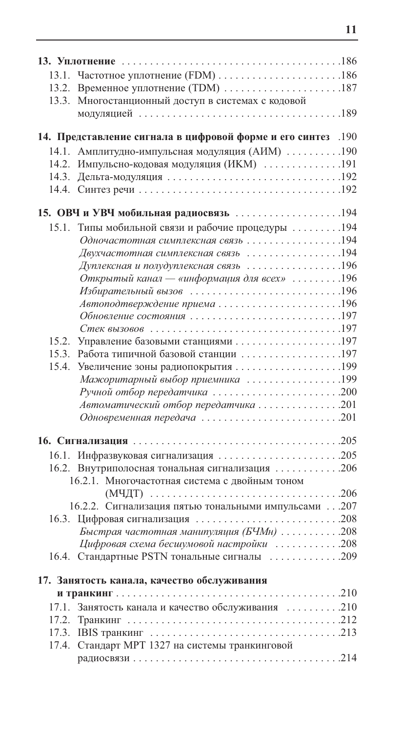|       | 13.2. Временное уплотнение (ТDM) 187                         |  |
|-------|--------------------------------------------------------------|--|
|       | 13.3. Многостанционный доступ в системах с кодовой           |  |
|       |                                                              |  |
|       |                                                              |  |
|       | 190. Представление сигнала в цифровой форме и его синтез 190 |  |
|       | 14.1. Амплитудно-импульсная модуляция (АИМ) 190              |  |
|       | 14.2. Импульсно-кодовая модуляция (ИКМ) 191                  |  |
|       |                                                              |  |
|       |                                                              |  |
|       | 15. ОВЧ и УВЧ мобильная радиосвязь 194                       |  |
| 15.1. | Типы мобильной связи и рабочие процедуры 194                 |  |
|       | Одночастотная симплексная связь 194                          |  |
|       | Двухчастотная симплексная связь 194                          |  |
|       | Дуплексная и полудуплексная связь 196                        |  |
|       | Открытый канал — «информация для всех» 196                   |  |
|       |                                                              |  |
|       | Автоподтверждение приема196                                  |  |
|       | Обновление состояния 197                                     |  |
|       |                                                              |  |
|       | 15.2. Управление базовыми станциями 197                      |  |
|       | 15.3. Работа типичной базовой станции 197                    |  |
|       |                                                              |  |
|       | Мажоритарный выбор приемника 199                             |  |
|       | Ручной отбор передатчика 200                                 |  |
|       | Автоматический отбор передатчика 201                         |  |
|       | Одновременная передача 201                                   |  |
|       |                                                              |  |
|       |                                                              |  |
|       | 16.1. Инфразвуковая сигнализация 205                         |  |
|       | 16.2. Внутриполосная тональная сигнализация 206              |  |
|       | 16.2.1. Многочастотная система с двойным тоном               |  |
|       |                                                              |  |
|       | 16.2.2. Сигнализация пятью тональными импульсами 207         |  |
| 16.3. | Цифровая сигнализация 208                                    |  |
|       | Быстрая частотная манипуляция (БЧМн) 208                     |  |
|       | Цифровая схема бесшумовой настройки 208                      |  |
|       | 16.4. Стандартные PSTN тональные сигналы 209                 |  |
|       | 17. Занятость канала, качество обслуживания                  |  |
|       |                                                              |  |
|       | 17.1. Занятость канала и качество обслуживания 210           |  |
|       |                                                              |  |
|       |                                                              |  |
|       | 17.4. Стандарт МРТ 1327 на системы транкинговой              |  |
|       |                                                              |  |
|       |                                                              |  |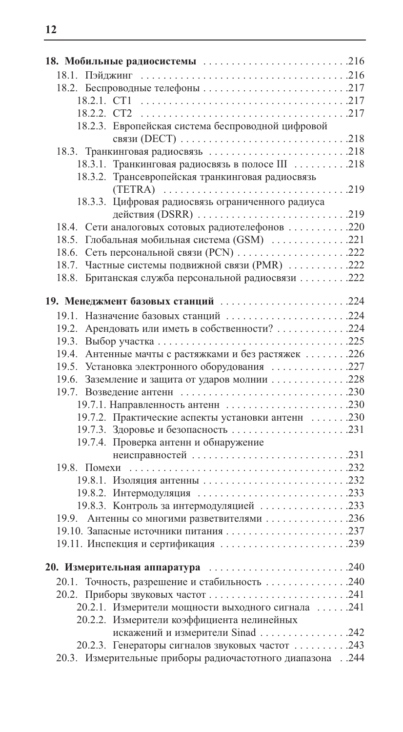| 18.2. Беспроводные телефоны 217                           |  |
|-----------------------------------------------------------|--|
|                                                           |  |
|                                                           |  |
| 18.2.3. Европейская система беспроводной цифровой         |  |
|                                                           |  |
| 18.3. Транкинговая радиосвязь 218                         |  |
| 18.3.1. Транкинговая радиосвязь в полосе III 218          |  |
| 18.3.2. Трансевропейская транкинговая радиосвязь          |  |
|                                                           |  |
| 18.3.3. Цифровая радиосвязь ограниченного радиуса         |  |
| действия (DSRR) 219                                       |  |
| 18.4. Сети аналоговых сотовых радиотелефонов 220          |  |
| 18.5. Глобальная мобильная система (GSM) 221              |  |
| 18.6. Сеть персональной связи (PCN) 222                   |  |
| 18.7. Частные системы подвижной связи (PMR) 222           |  |
| 18.8. Британская служба персональной радиосвязи 222       |  |
|                                                           |  |
| 19. Менеджмент базовых станций 224                        |  |
| 19.1. Назначение базовых станций 224                      |  |
| 19.2. Арендовать или иметь в собственности? 224           |  |
|                                                           |  |
| 19.4. Антенные мачты с растяжками и без растяжек 226      |  |
| 19.5. Установка электронного оборудования 227             |  |
| 19.6. Заземление и защита от ударов молнии 228            |  |
|                                                           |  |
|                                                           |  |
| 19.7.2. Практические аспекты установки антенн  230        |  |
|                                                           |  |
| 19.7.4. Проверка антенн и обнаружение                     |  |
|                                                           |  |
|                                                           |  |
|                                                           |  |
|                                                           |  |
| 19.8.3. Контроль за интермодуляцией 233                   |  |
| 19.9. Антенны со многими разветвителями 236               |  |
|                                                           |  |
| 19.11. Инспекция и сертификация 239                       |  |
|                                                           |  |
|                                                           |  |
| 20.1. Точность, разрешение и стабильность 240             |  |
| 20.2. Приборы звуковых частот 241                         |  |
| 20.2.1. Измерители мощности выходного сигнала 241         |  |
| 20.2.2. Измерители коэффициента нелинейных                |  |
| искажений и измерители Sinad 242                          |  |
| 20.2.3. Генераторы сигналов звуковых частот 243           |  |
| 20.3. Измерительные приборы радиочастотного диапазона 244 |  |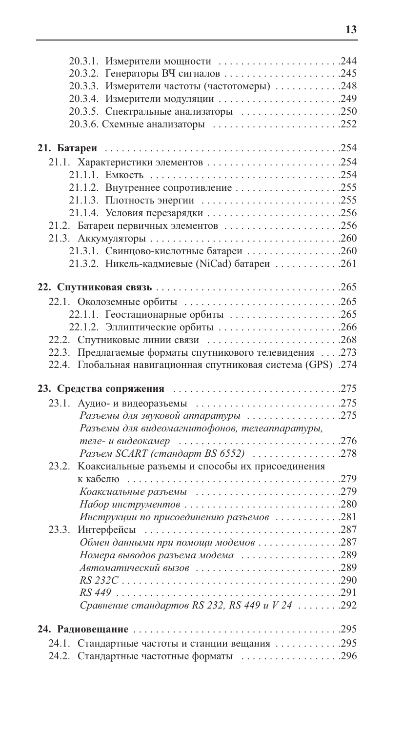|       | 20.3.1. Измерители мощности 244                                                        |  |
|-------|----------------------------------------------------------------------------------------|--|
|       |                                                                                        |  |
|       | 20.3.3. Измерители частоты (частотомеры) 248                                           |  |
|       | 20.3.4. Измерители модуляции 249                                                       |  |
|       | 20.3.5. Спектральные анализаторы 250                                                   |  |
|       |                                                                                        |  |
|       |                                                                                        |  |
|       |                                                                                        |  |
|       | 21.1. Характеристики элементов 254                                                     |  |
|       |                                                                                        |  |
|       | 21.1.2. Внутреннее сопротивление 255                                                   |  |
|       | 21.1.3. Плотность энергии 255                                                          |  |
|       | 21.1.4. Условия перезарядки 256                                                        |  |
|       | 21.2. Батареи первичных элементов 256                                                  |  |
|       |                                                                                        |  |
|       | 21.3.1. Свинцово-кислотные батареи 260                                                 |  |
|       | 21.3.2. Никель-кадмиевые (NiCad) батареи 261                                           |  |
|       |                                                                                        |  |
|       |                                                                                        |  |
|       |                                                                                        |  |
|       | 22.1.1. Геостационарные орбиты 265                                                     |  |
|       | 22.1.2. Эллиптические орбиты 266                                                       |  |
|       | 22.2. Спутниковые линии связи 268                                                      |  |
|       | 22.3. Предлагаемые форматы спутникового телевидения  . 273                             |  |
|       | 22.4. Глобальная навигационная спутниковая система (GPS) .274                          |  |
|       |                                                                                        |  |
|       |                                                                                        |  |
| 23.1. |                                                                                        |  |
|       | Разъемы для звуковой аппаратуры 275                                                    |  |
|       | Разъемы для видеомагнитофонов, телеаппаратуры,                                         |  |
|       | теле-и видеокамер $\ldots \ldots \ldots \ldots \ldots \ldots \ldots \ldots \ldots 276$ |  |
|       | Разъем SCART (стандарт BS 6552) 278                                                    |  |
| 23.2. | Коаксиальные разъемы и способы их присоединения                                        |  |
|       |                                                                                        |  |
|       |                                                                                        |  |
|       | Набор инструментов 280                                                                 |  |
|       | Инструкции по присоединению разъемов 281                                               |  |
| 23.3. |                                                                                        |  |
|       | Обмен данными при помощи модемов 287                                                   |  |
|       | Номера выводов разъема модема 289                                                      |  |
|       | Автоматический вызов 289                                                               |  |
|       |                                                                                        |  |
|       |                                                                                        |  |
|       | Сравнение стандартов RS 232, RS 449 и V 24 292                                         |  |
|       |                                                                                        |  |
|       | 24.1. Стандартные частоты и станции вещания 295                                        |  |
|       | 24.2. Стандартные частотные форматы 296                                                |  |
|       |                                                                                        |  |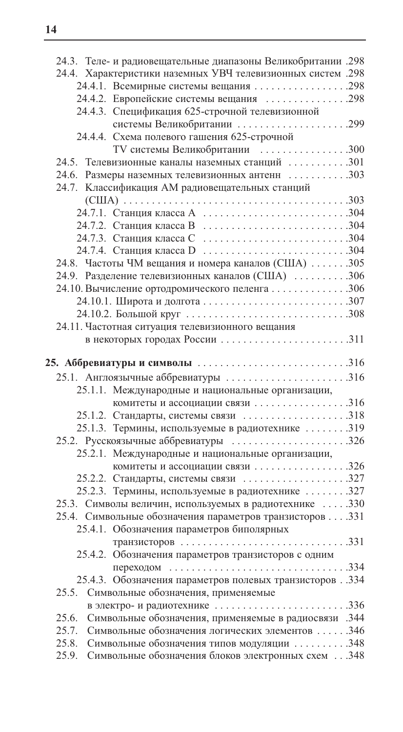| 298. Теле- и радиовещательные диапазоны Великобритании.          |  |
|------------------------------------------------------------------|--|
| 24.4. Характеристики наземных УВЧ телевизионных систем .298      |  |
| 24.4.1. Всемирные системы вещания 298                            |  |
| 24.4.2. Европейские системы вещания 298                          |  |
| 24.4.3. Спецификация 625-строчной телевизионной                  |  |
| системы Великобритании 299                                       |  |
| 24.4.4. Схема полевого гашения 625-строчной                      |  |
| ТV системы Великобритании 300                                    |  |
| 24.5. Телевизионные каналы наземных станций $\dots\dots\dots301$ |  |
| 24.6. Размеры наземных телевизионных антенн 303                  |  |
| 24.7. Классификация АМ радиовещательных станций                  |  |
|                                                                  |  |
|                                                                  |  |
| 24.7.2. Станция класса В 304                                     |  |
| 24.7.3. Станция класса С 304                                     |  |
| 24.7.4. Станция класса D 304                                     |  |
| 24.8. Частоты ЧМ вещания и номера каналов (США) 305              |  |
| 24.9. Разделение телевизионных каналов (США) 306                 |  |
| 24.10. Вычисление ортодромического пеленга 306                   |  |
| 24.10.1. Широта и долгота 307                                    |  |
|                                                                  |  |
| 24.11. Частотная ситуация телевизионного вещания                 |  |
|                                                                  |  |
|                                                                  |  |
|                                                                  |  |
| 25.1. Англоязычные аббревиатуры 316                              |  |
| 25.1.1. Международные и национальные организации,                |  |
|                                                                  |  |
| 25.1.2. Стандарты, системы связи 318                             |  |
| 25.1.3. Термины, используемые в радиотехнике 319                 |  |
| 25.2. Русскоязычные аббревиатуры 326                             |  |
| 25.2.1. Международные и национальные организации,                |  |
| комитеты и ассоциации связи 326                                  |  |
| 25.2.2. Стандарты, системы связи 327                             |  |
| 25.2.3. Термины, используемые в радиотехнике 327                 |  |
| 25.3. Символы величин, используемых в радиотехнике  330          |  |
| 25.4. Символьные обозначения параметров транзисторов 331         |  |
| 25.4.1. Обозначения параметров биполярных                        |  |
|                                                                  |  |
| 25.4.2. Обозначения параметров транзисторов с одним              |  |
|                                                                  |  |
| 25.4.3. Обозначения параметров полевых транзисторов. .334        |  |
| 25.5.<br>Символьные обозначения, применяемые                     |  |
| в электро- и радиотехнике 336                                    |  |
| Символьные обозначения, применяемые в радиосвязи .344<br>25.6.   |  |
| 25.7.<br>Символьные обозначения логических элементов 346         |  |
| Символьные обозначения типов модуляции 348<br>25.8.              |  |
| Символьные обозначения блоков электронных схем 348<br>25.9.      |  |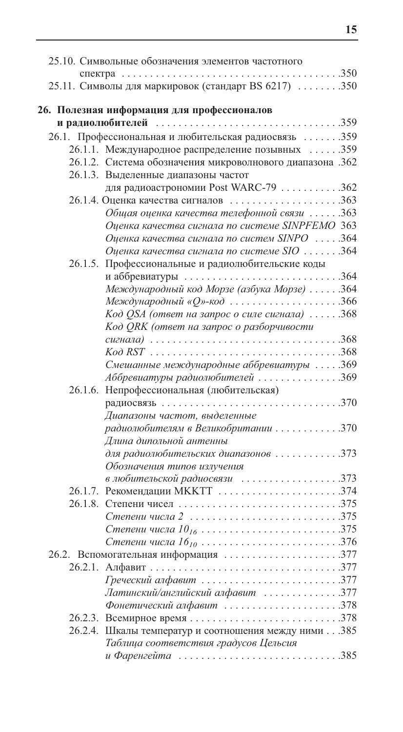| 25.10. Символьные обозначения элементов частотного                  |  |
|---------------------------------------------------------------------|--|
|                                                                     |  |
| 25.11. Символы для маркировок (стандарт BS 6217) 350                |  |
|                                                                     |  |
| 26. Полезная информация для профессионалов                          |  |
|                                                                     |  |
| 26.1. Профессиональная и любительская радиосвязь 359                |  |
| 26.1.1. Международное распределение позывных 359                    |  |
| 26.1.2. Система обозначения микроволнового диапазона .362           |  |
| 26.1.3. Выделенные диапазоны частот                                 |  |
| для радиоастрономии Post WARC-79 362                                |  |
| 26.1.4. Оценка качества сигналов 363                                |  |
| Общая оценка качества телефонной связи 363                          |  |
| Оценка качества сигнала по системе SINPFEMO 363                     |  |
| Оценка качества сигнала по систем SINPO 364                         |  |
| Оценка качества сигнала по системе SIO  364                         |  |
| Профессиональные и радиолюбительские коды<br>26.1.5.                |  |
| и аббревиатуры 364                                                  |  |
| Международный код Морзе (азбука Морзе) 364                          |  |
| Международный « $Q$ »-код366                                        |  |
| Код QSA (ответ на запрос о силе сигнала) 368                        |  |
| Код QRK (ответ на запрос о разборчивости                            |  |
|                                                                     |  |
|                                                                     |  |
| Смешанные международные аббревиатуры 369                            |  |
| Аббревиатуры радиолюбителей 369                                     |  |
| 26.1.6. Непрофессиональная (любительская)                           |  |
|                                                                     |  |
| Диапазоны частот, выделенные<br>радиолюбителям в Великобритании 370 |  |
|                                                                     |  |
| Длина дипольной антенны                                             |  |
| для радиолюбительских диапазонов 373                                |  |
| Обозначения типов излучения                                         |  |
| в любительской радиосвязи 373<br>26.1.7. Рекомендации МККТТ 374     |  |
| 26.1.8.                                                             |  |
| Степени числа 2 375                                                 |  |
|                                                                     |  |
| Степени числа 16 <sub>10</sub> 376                                  |  |
| 26.2. Вспомогательная информация 377                                |  |
| 26.2.1.                                                             |  |
| Греческий алфавит 377                                               |  |
| Латинский/английский алфавит 377                                    |  |
| Фонетический алфавит 378                                            |  |
|                                                                     |  |
| 26.2.4. Шкалы температур и соотношения между ними 385               |  |
| Таблица соответствия градусов Цельсия                               |  |
| и Фаренгейта 385                                                    |  |
|                                                                     |  |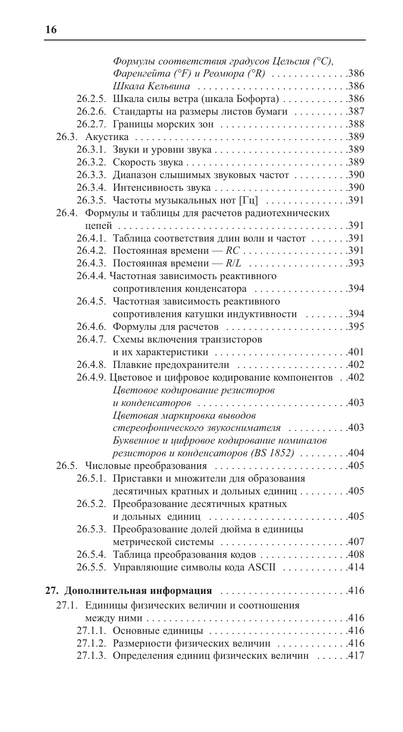| Формулы соответствия градусов Цельсия (°С),                                   |  |
|-------------------------------------------------------------------------------|--|
| Фаренгейта (°F) и Реомюра (°R) 386                                            |  |
| Шкала Кельвина 386                                                            |  |
| 26.2.5. Шкала силы ветра (шкала Бофорта) 386                                  |  |
| 26.2.6. Стандарты на размеры листов бумаги 387                                |  |
| 26.2.7. Границы морских зон 388                                               |  |
|                                                                               |  |
| 26.3.1. Звуки и уровни звука 389                                              |  |
|                                                                               |  |
| 26.3.3. Диапазон слышимых звуковых частот 390                                 |  |
|                                                                               |  |
| 26.3.5. Частоты музыкальных нот $\lceil \Gamma_{\text{II}} \rceil$ 391        |  |
| 26.4. Формулы и таблицы для расчетов радиотехнических                         |  |
|                                                                               |  |
| 26.4.1. Таблица соответствия длин волн и частот 391                           |  |
|                                                                               |  |
|                                                                               |  |
| 26.4.4. Частотная зависимость реактивного                                     |  |
| сопротивления конденсатора 394                                                |  |
| 26.4.5. Частотная зависимость реактивного                                     |  |
| сопротивления катушки индуктивности 394                                       |  |
| 26.4.6. Формулы для расчетов 395                                              |  |
| 26.4.7. Схемы включения транзисторов                                          |  |
| и их характеристики 401                                                       |  |
| 26.4.8. Плавкие предохранители 402                                            |  |
| 26.4.9. Цветовое и цифровое кодирование компонентов 402                       |  |
| Цветовое кодирование резисторов                                               |  |
| и конденсаторов $\ldots \ldots \ldots \ldots \ldots \ldots \ldots \ldots 403$ |  |
| Цветовая маркировка выводов                                                   |  |
| стереофонического звукоснимателя 403                                          |  |
| Буквенное и цифровое кодирование номиналов                                    |  |
| резисторов и конденсаторов (BS 1852) 404                                      |  |
|                                                                               |  |
| 26.5.1. Приставки и множители для образования                                 |  |
| десятичных кратных и дольных единиц 405                                       |  |
| 26.5.2. Преобразование десятичных кратных                                     |  |
| и дольных единиц 405                                                          |  |
| 26.5.3. Преобразование долей дюйма в единицы                                  |  |
| метрической системы 407                                                       |  |
| 26.5.4. Таблица преобразования кодов 408                                      |  |
| 26.5.5. Управляющие символы кода ASCII 414                                    |  |
|                                                                               |  |
| 27. Дополнительная информация 416                                             |  |
| 27.1. Единицы физических величин и соотношения                                |  |
|                                                                               |  |
| 27.1.1. Основные единицы 416                                                  |  |
| 27.1.2. Размерности физических величин 416                                    |  |
| 27.1.3. Определения единиц физических величин 417                             |  |
|                                                                               |  |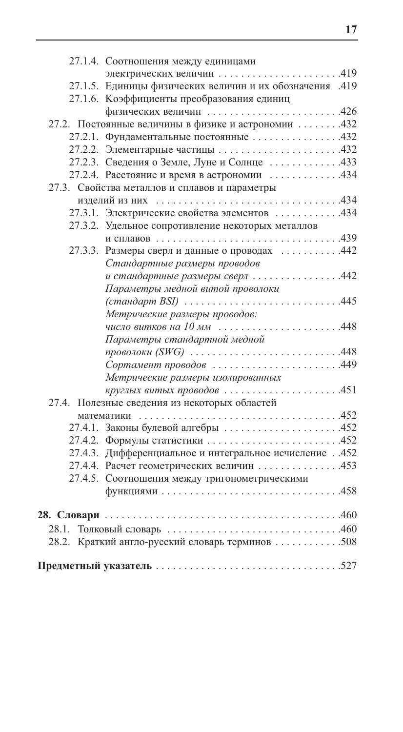| 27.1.4. Соотношения между единицами                                    |  |
|------------------------------------------------------------------------|--|
| электрических величин 419                                              |  |
| 27.1.5. Единицы физических величин и их обозначения .419               |  |
| 27.1.6. Коэффициенты преобразования единиц                             |  |
|                                                                        |  |
| 27.2. Постоянные величины в физике и астрономии 432                    |  |
| 27.2.1. Фундаментальные постоянные 432                                 |  |
| 27.2.2. Элементарные частицы 432                                       |  |
| 27.2.3. Сведения о Земле, Луне и Солнце 433                            |  |
| 27.2.4. Расстояние и время в астрономии 434                            |  |
| 27.3. Свойства металлов и сплавов и параметры                          |  |
|                                                                        |  |
| 27.3.1. Электрические свойства элементов 434                           |  |
| 27.3.2. Удельное сопротивление некоторых металлов                      |  |
|                                                                        |  |
| 27.3.3. Размеры сверл и данные о проводах 442                          |  |
| Стандартные размеры проводов                                           |  |
| и стандартные размеры сверл 442                                        |  |
| Параметры медной витой проволоки                                       |  |
| (стандарт BSI) 445                                                     |  |
| Метрические размеры проводов:                                          |  |
| число витков на 10 мм 448                                              |  |
| Параметры стандартной медной                                           |  |
| проволоки (SWG) $\ldots \ldots \ldots \ldots \ldots \ldots \ldots 448$ |  |
| Сортамент проводов 449                                                 |  |
| Метрические размеры изолированных                                      |  |
| круглых витых проводов 451                                             |  |
| 27.4. Полезные сведения из некоторых областей                          |  |
|                                                                        |  |
| 27.4.1. Законы булевой алгебры 452                                     |  |
| 27.4.2. Формулы статистики 452                                         |  |
| 27.4.3. Дифференциальное и интегральное исчисление452                  |  |
| 27.4.4. Расчет геометрических величин 453                              |  |
| 27.4.5. Соотношения между тригонометрическими                          |  |
|                                                                        |  |
|                                                                        |  |
|                                                                        |  |
|                                                                        |  |
| 28.2. Краткий англо-русский словарь терминов 508                       |  |
|                                                                        |  |
|                                                                        |  |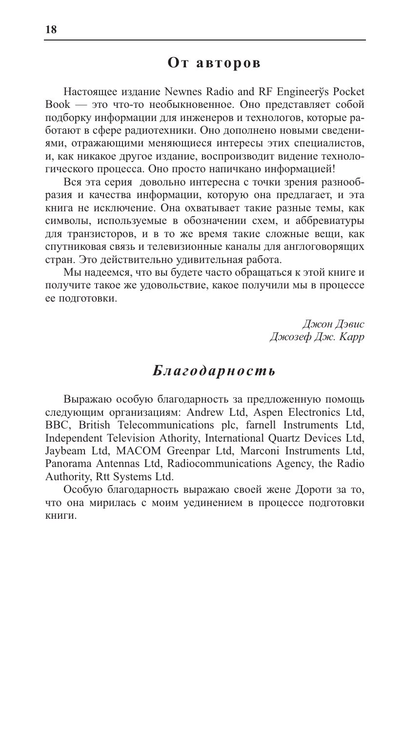# От авторов

Настоящее издание Newnes Radio and RF Engineerys Pocket Book - это что-то необыкновенное. Оно представляет собой подборку информации для инженеров и технологов, которые работают в сфере радиотехники. Оно дополнено новыми сведениями, отражающими меняющиеся интересы этих специалистов, и, как никакое другое издание, воспроизводит видение технологического процесса. Оно просто напичкано информацией!

Вся эта серия довольно интересна с точки зрения разнообразия и качества информации, которую она предлагает, и эта книга не исключение. Она охватывает такие разные темы, как символы, используемые в обозначении схем, и аббревиатуры для транзисторов, и в то же время такие сложные вещи, как спутниковая связь и телевизионные каналы для англоговорящих стран. Это действительно удивительная работа.

Мы надеемся, что вы будете часто обращаться к этой книге и получите такое же удовольствие, какое получили мы в процессе ее подготовки.

> Джон Дэвис Джозеф Дж. Карр

# Благодарность

Выражаю особую благодарность за предложенную помощь следующим организациям: Andrew Ltd, Aspen Electronics Ltd, BBC, British Telecommunications plc, farnell Instruments Ltd, Independent Television Athority, International Quartz Devices Ltd, Jaybeam Ltd, MACOM Greenpar Ltd, Marconi Instruments Ltd, Panorama Antennas Ltd, Radiocommunications Agency, the Radio Authority, Rtt Systems Ltd.

Особую благодарность выражаю своей жене Дороти за то, что она мирилась с моим уединением в процессе подготовки книги.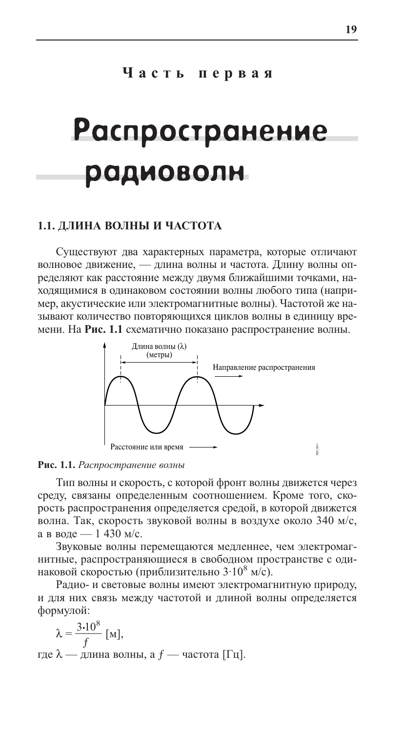# Часть первая

# **Распространение** радиоволн

#### 1.1. ДЛИНА ВОЛНЫ И ЧАСТОТА

Существуют два характерных параметра, которые отличают волновое движение, - длина волны и частота. Длину волны определяют как расстояние между двумя ближайшими точками, находящимися в одинаковом состоянии волны любого типа (например, акустические или электромагнитные волны). Частотой же называют количество повторяющихся циклов волны в единицу времени. На Рис. 1.1 схематично показано распространение волны.



#### Рис. 1.1. Распространение волны

Тип волны и скорость, с которой фронт волны движется через среду, связаны определенным соотношением. Кроме того, скорость распространения определяется средой, в которой движется волна. Так, скорость звуковой волны в воздухе около 340 м/с, а в воде — 1 430 м/с.

Звуковые волны перемещаются медленнее, чем электромагнитные, распространяющиеся в свободном пространстве с одинаковой скоростью (приблизительно  $3.10^8$  м/с).

Радио- и световые волны имеют электромагнитную природу, и для них связь между частотой и длиной волны определяется формулой:

 $\lambda = \frac{3 \cdot 10^8}{f}$  [M], где  $\lambda$  — длина волны, а  $f$  — частота [Гц].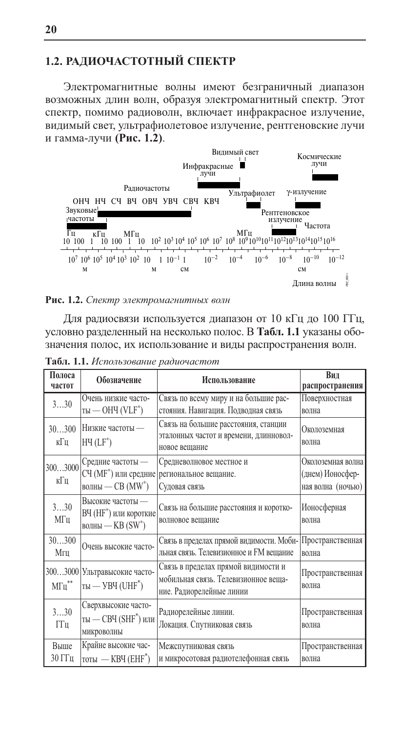## 1.2. РАДИОЧАСТОТНЫЙ СПЕКТР

Электромагнитные волны имеют безграничный диапазон возможных длин волн, образуя электромагнитный спектр. Этот спектр, помимо радиоволн, включает инфракрасное излучение, видимый свет, ультрафиолетовое излучение, рентгеновские лучи и гамма-лучи (Рис. 1.2).



Рис. 1.2. Спектр электромагнитных волн

Для радиосвязи используется диапазон от 10 кГц до 100 ГГц, условно разделенный на несколько полос. В Табл. 1.1 указаны обозначения полос, их использование и виды распространения волн.

| Полоса<br>частот                         | Обозначение                                                                | Использование                                                                                           | Вил<br>распространения                                     |
|------------------------------------------|----------------------------------------------------------------------------|---------------------------------------------------------------------------------------------------------|------------------------------------------------------------|
| 330                                      | Очень низкие часто-<br>$Tbl$ — ОНЧ (VLF <sup>®</sup> )                     | Связь по всему миру и на большие рас-<br>стояния. Навигация. Подводная связь                            | Поверхностная<br>волна                                     |
| 30300<br>кГц                             | Низкие частоты -<br>$HH(LF^*)$                                             | Связь на большие расстояния, станции<br>эталонных частот и времени, длинновол-<br>новое вешание         | Околоземная<br>волна                                       |
| 3003000<br>кГц                           | Средние частоты —<br>СЧ (МҒ*) или средние<br>волны — СВ (MW <sup>*</sup> ) | Средневолновое местное и<br>региональное вещание.<br>Судовая связь                                      | Околоземная волна<br>(днем) Ионосфер-<br>ная волна (ночью) |
| 330<br>МΓц                               | Высокие частоты -<br>ВЧ (НF*) или короткие<br>волны — $KB(SW^*)$           | Связь на большие расстояния и коротко-<br>волновое вещание                                              | Ионосферная<br>волна                                       |
| 30300<br>Мгц                             | Очень высокие часто-                                                       | Связь в пределах прямой видимости. Моби- Пространственная<br>льная связь. Телевизионное и FM вещание    | волна                                                      |
| 3003000<br>$\text{M}\Gamma\text{H}^{**}$ | Ультравысокие часто-<br>$Tbl$ — УВЧ (UHF <sup>*</sup> )                    | Связь в пределах прямой видимости и<br>мобильная связь. Телевизионное веща-<br>ние. Радиорелейные линии | Пространственная<br>волна                                  |
| 330<br>ГГц                               | Сверхвысокие часто-<br>ты — СВЧ (SHF <sup>*</sup> ) или<br>микроволны      | Радиорелейные линии.<br>Локация. Спутниковая связь                                                      | Пространственная<br>волна                                  |
| Выше<br>30 ГГц                           | Крайне высокие час-<br>тоты $-$ КВЧ (ЕНГ <sup>*</sup> )                    | Межспутниковая связь<br>и микросотовая радиотелефонная связь                                            | Пространственная<br>волна                                  |

Табл. 1.1. Использование радиочастот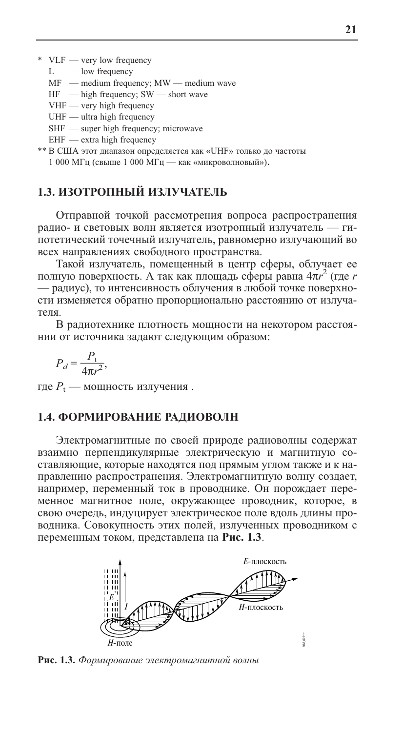$*$  VLF — very low frequency

L — low frequency

- MF medium frequency; MW medium wave
- $HF$  high frequency; SW short wave
- VHF very high frequency
- $UHF$  ultra high frequency
- SHF super high frequency; microwave
- $EHF$  extra high frequency

\*\* В США этот диапазон определяется как «UHF» только до частоты 1 000 МГц (свыше 1 000 МГц - как «микроволновый»).

#### 1.3. ИЗОТРОПНЫЙ ИЗЛУЧАТЕЛЬ

Отправной точкой рассмотрения вопроса распространения радио- и световых волн является изотропный излучатель - гипотетический точечный излучатель, равномерно излучающий во всех направлениях свободного пространства.

Такой излучатель, помещенный в центр сферы, облучает ее полную поверхность. А так как площадь сферы равна  $4\pi r^2$  (где *r* - радиус), то интенсивность облучения в любой точке поверхности изменяется обратно пропорционально расстоянию от излучателя.

В радиотехнике плотность мощности на некотором расстоянии от источника задают следующим образом:

$$
P_d = \frac{P_t}{4\pi r^2},
$$

где  $P_t$  — мощность излучения.

#### 1.4. ФОРМИРОВАНИЕ РАДИОВОЛН

Электромагнитные по своей природе радиоволны содержат взаимно перпендикулярные электрическую и магнитную составляющие, которые находятся под прямым углом также и к направлению распространения. Электромагнитную волну создает, например, переменный ток в проводнике. Он порождает переменное магнитное поле, окружающее проводник, которое, в свою очередь, индуцирует электрическое поле вдоль длины проводника. Совокупность этих полей, излученных проводником с переменным током, представлена на Рис. 1.3.



Рис. 1.3. Формирование электромагнитной волны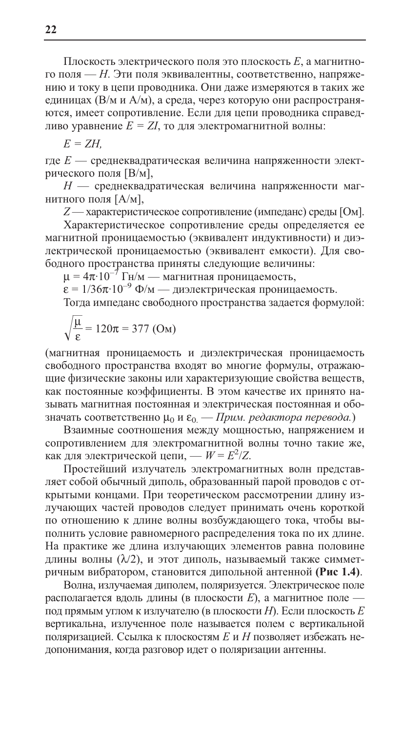Плоскость электрического поля это плоскость Е, а магнитного поля — Н. Эти поля эквивалентны, соответственно, напряжению и току в цепи проводника. Они даже измеряются в таких же единицах (В/м и А/м), а среда, через которую они распространяются, имеет сопротивление. Если для цепи проводника справедливо уравнение  $E = ZI$ , то для электромагнитной волны:

$$
E=ZH,
$$

где  $E$  — среднеквадратическая величина напряженности электрического поля [В/м],

 $H$  — среднеквадратическая величина напряженности магнитного поля [А/м],

Z — характеристическое сопротивление (импеданс) среды [Ом].

Характеристическое сопротивление среды определяется ее магнитной проницаемостью (эквивалент индуктивности) и диэлектрической проницаемостью (эквивалент емкости). Для свободного пространства приняты следующие величины:

 $\mu = 4\pi \cdot 10^{-7}$  Гн/м — магнитная проницаемость,<br> $\epsilon = 1/36\pi \cdot 10^{-9}$  Ф/м — диэлектрическая проницаемость.

Тогда импеданс свободного пространства задается формулой:

$$
\sqrt{\frac{\mu}{\epsilon}} = 120\pi = 377 \text{ (OM)}
$$

(магнитная проницаемость и диэлектрическая проницаемость свободного пространства входят во многие формулы, отражающие физические законы или характеризующие свойства веществ, как постоянные коэффициенты. В этом качестве их принято называть магнитная постоянная и электрическая постоянная и обозначать соответственно  $\mu_0$  и  $\varepsilon_0$  — Прим. редактора перевода.)

Взаимные соотношения между мощностью, напряжением и сопротивлением для электромагнитной волны точно такие же, как для электрической цепи, —  $W = E^2/Z$ .

Простейший излучатель электромагнитных волн представляет собой обычный диполь, образованный парой проводов с открытыми концами. При теоретическом рассмотрении длину излучающих частей проводов следует принимать очень короткой по отношению к длине волны возбуждающего тока, чтобы выполнить условие равномерного распределения тока по их длине. На практике же длина излучающих элементов равна половине длины волны  $(\lambda/2)$ , и этот диполь, называемый также симметричным вибратором, становится дипольной антенной (Рис 1.4).

Волна, излучаемая диполем, поляризуется. Электрическое поле располагается вдоль длины (в плоскости E), а магнитное поле под прямым углом к излучателю (в плоскости H). Если плоскость  $E$ вертикальна, излученное поле называется полем с вертикальной поляризацией. Ссылка к плоскостям Е и Н позволяет избежать недопонимания, когда разговор идет о поляризации антенны.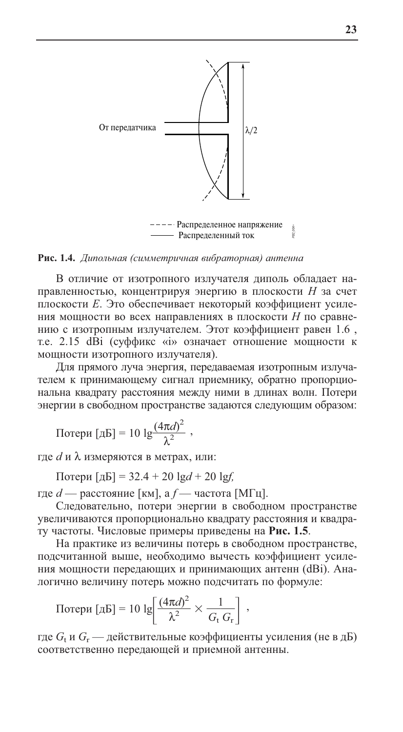

Рис. 1.4. Дипольная (симметричная вибраторная) антенна

В отличие от изотропного излучателя диполь обладает направленностью, концентрируя энергию в плоскости Н за счет плоскости Е. Это обеспечивает некоторый коэффициент усиления мощности во всех направлениях в плоскости Н по сравнению с изотропным излучателем. Этот коэффициент равен 1.6, т.е. 2.15 dBi (суффикс «i» означает отношение мощности к мощности изотропного излучателя).

Для прямого луча энергия, передаваемая изотропным излучателем к принимающему сигнал приемнику, обратно пропорциональна квадрату расстояния между ними в длинах волн. Потери энергии в свободном пространстве задаются следующим образом:

Потери [дБ] = 10 
$$
\lg \frac{(4\pi d)^2}{\lambda^2}
$$

где *d* и  $\lambda$  измеряются в метрах, или:

Потери [дБ] = 32.4 + 20  $\lg d$  + 20  $\lg f$ .

где  $d$  — расстояние [км], а  $f$  — частота [МГц].

Следовательно, потери энергии в свободном пространстве увеличиваются пропорционально квадрату расстояния и квадрату частоты. Числовые примеры приведены на Рис. 1.5.

На практике из величины потерь в свободном пространстве, подсчитанной выше, необходимо вычесть коэффициент усиления мощности передающих и принимающих антенн (dBi). Аналогично величину потерь можно подсчитать по формуле:

Потери [дБ] = 10 lg
$$
\left[\frac{(4\pi d)^2}{\lambda^2} \times \frac{1}{G_{\text{t}} G_{\text{r}}}\right]
$$
,

где  $G_t$  и  $G_r$  — действительные коэффициенты усиления (не в дБ) соответственно передающей и приемной антенны.